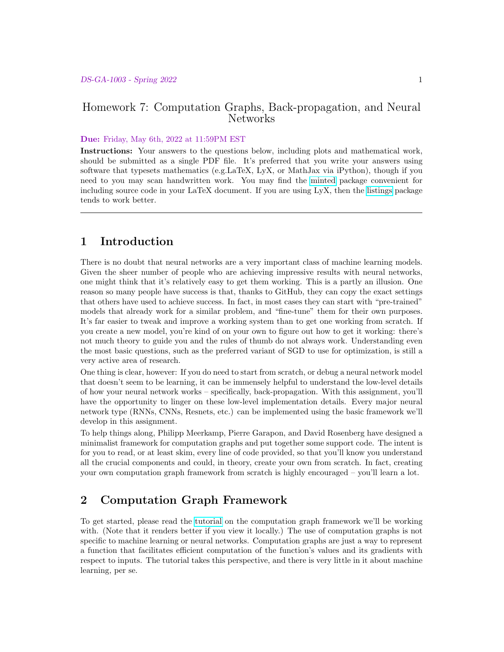### Homework 7: Computation Graphs, Back-propagation, and Neural Networks

#### Due: Friday, May 6th, 2022 at 11:59PM EST

Instructions: Your answers to the questions below, including plots and mathematical work, should be submitted as a single PDF file. It's preferred that you write your answers using software that typesets mathematics (e.g.LaTeX, LyX, or MathJax via iPython), though if you need to you may scan handwritten work. You may find the [minted](https://github.com/gpoore/minted) package convenient for including source code in your LaTeX document. If you are using LyX, then the [listings](https://en.wikibooks.org/wiki/LaTeX/Source_Code_Listings) package tends to work better.

## 1 Introduction

There is no doubt that neural networks are a very important class of machine learning models. Given the sheer number of people who are achieving impressive results with neural networks, one might think that it's relatively easy to get them working. This is a partly an illusion. One reason so many people have success is that, thanks to GitHub, they can copy the exact settings that others have used to achieve success. In fact, in most cases they can start with "pre-trained" models that already work for a similar problem, and "fine-tune" them for their own purposes. It's far easier to tweak and improve a working system than to get one working from scratch. If you create a new model, you're kind of on your own to figure out how to get it working: there's not much theory to guide you and the rules of thumb do not always work. Understanding even the most basic questions, such as the preferred variant of SGD to use for optimization, is still a very active area of research.

One thing is clear, however: If you do need to start from scratch, or debug a neural network model that doesn't seem to be learning, it can be immensely helpful to understand the low-level details of how your neural network works – specifically, back-propagation. With this assignment, you'll have the opportunity to linger on these low-level implementation details. Every major neural network type (RNNs, CNNs, Resnets, etc.) can be implemented using the basic framework we'll develop in this assignment.

To help things along, Philipp Meerkamp, Pierre Garapon, and David Rosenberg have designed a minimalist framework for computation graphs and put together some support code. The intent is for you to read, or at least skim, every line of code provided, so that you'll know you understand all the crucial components and could, in theory, create your own from scratch. In fact, creating your own computation graph framework from scratch is highly encouraged – you'll learn a lot.

# 2 Computation Graph Framework

To get started, please read the [tutorial](https://github.com/davidrosenberg/mlcourse/blob/gh-pages/Notebooks/computation-graph/computation-graph-framework.ipynb) on the computation graph framework we'll be working with. (Note that it renders better if you view it locally.) The use of computation graphs is not specific to machine learning or neural networks. Computation graphs are just a way to represent a function that facilitates efficient computation of the function's values and its gradients with respect to inputs. The tutorial takes this perspective, and there is very little in it about machine learning, per se.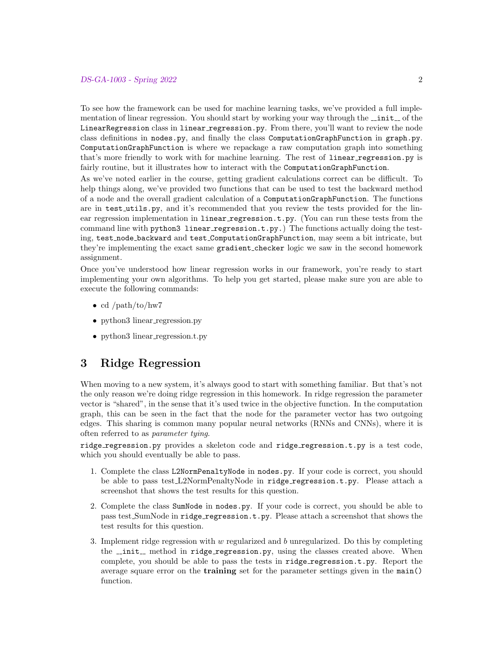To see how the framework can be used for machine learning tasks, we've provided a full implementation of linear regression. You should start by working your way through the  $\text{unit}$  of the LinearRegression class in linear regression.py. From there, you'll want to review the node class definitions in nodes.py, and finally the class ComputationGraphFunction in graph.py. ComputationGraphFunction is where we repackage a raw computation graph into something that's more friendly to work with for machine learning. The rest of linear regression.py is fairly routine, but it illustrates how to interact with the ComputationGraphFunction.

As we've noted earlier in the course, getting gradient calculations correct can be difficult. To help things along, we've provided two functions that can be used to test the backward method of a node and the overall gradient calculation of a ComputationGraphFunction. The functions are in test utils.py, and it's recommended that you review the tests provided for the linear regression implementation in linear regression.t.py. (You can run these tests from the command line with python3 linear regression.t.py.) The functions actually doing the testing, test node backward and test ComputationGraphFunction, may seem a bit intricate, but they're implementing the exact same gradient checker logic we saw in the second homework assignment.

Once you've understood how linear regression works in our framework, you're ready to start implementing your own algorithms. To help you get started, please make sure you are able to execute the following commands:

- cd /path/to/hw7
- python3 linear\_regression.py
- python3 linear\_regression.t.py

## 3 Ridge Regression

When moving to a new system, it's always good to start with something familiar. But that's not the only reason we're doing ridge regression in this homework. In ridge regression the parameter vector is "shared", in the sense that it's used twice in the objective function. In the computation graph, this can be seen in the fact that the node for the parameter vector has two outgoing edges. This sharing is common many popular neural networks (RNNs and CNNs), where it is often referred to as parameter tying.

ridge regression.py provides a skeleton code and ridge regression.t.py is a test code, which you should eventually be able to pass.

- 1. Complete the class L2NormPenaltyNode in nodes.py. If your code is correct, you should be able to pass test L2NormPenaltyNode in ridge regression.t.py. Please attach a screenshot that shows the test results for this question.
- 2. Complete the class SumNode in nodes.py. If your code is correct, you should be able to pass test SumNode in ridge regression.t.py. Please attach a screenshot that shows the test results for this question.
- 3. Implement ridge regression with  $w$  regularized and  $b$  unregularized. Do this by completing the  $\text{unit}$  method in ridge regression.py, using the classes created above. When complete, you should be able to pass the tests in ridge regression.t.py. Report the average square error on the training set for the parameter settings given in the main() function.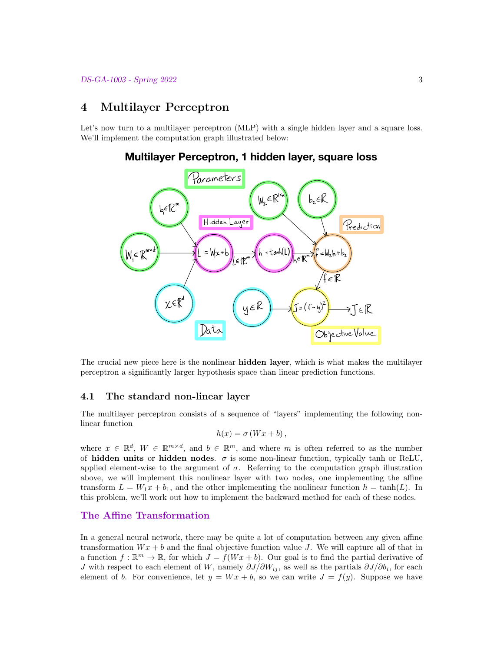## 4 Multilayer Perceptron

Let's now turn to a multilayer perceptron (MLP) with a single hidden layer and a square loss. We'll implement the computation graph illustrated below:



### **Multilayer Perceptron, 1 hidden layer, square loss**

The crucial new piece here is the nonlinear hidden layer, which is what makes the multilayer perceptron a significantly larger hypothesis space than linear prediction functions.

#### 4.1 The standard non-linear layer

The multilayer perceptron consists of a sequence of "layers" implementing the following nonlinear function

$$
h(x) = \sigma(Wx + b),
$$

where  $x \in \mathbb{R}^d$ ,  $W \in \mathbb{R}^{m \times d}$ , and  $b \in \mathbb{R}^m$ , and where m is often referred to as the number of hidden units or hidden nodes.  $\sigma$  is some non-linear function, typically tanh or ReLU, applied element-wise to the argument of  $\sigma$ . Referring to the computation graph illustration above, we will implement this nonlinear layer with two nodes, one implementing the affine transform  $L = W_1x + b_1$ , and the other implementing the nonlinear function  $h = \tanh(L)$ . In this problem, we'll work out how to implement the backward method for each of these nodes.

### The Affine Transformation

In a general neural network, there may be quite a lot of computation between any given affine transformation  $Wx + b$  and the final objective function value J. We will capture all of that in a function  $f : \mathbb{R}^m \to \mathbb{R}$ , for which  $J = f(Wx + b)$ . Our goal is to find the partial derivative of J with respect to each element of W, namely  $\partial J/\partial W_{ij}$ , as well as the partials  $\partial J/\partial b_i$ , for each element of b. For convenience, let  $y = Wx + b$ , so we can write  $J = f(y)$ . Suppose we have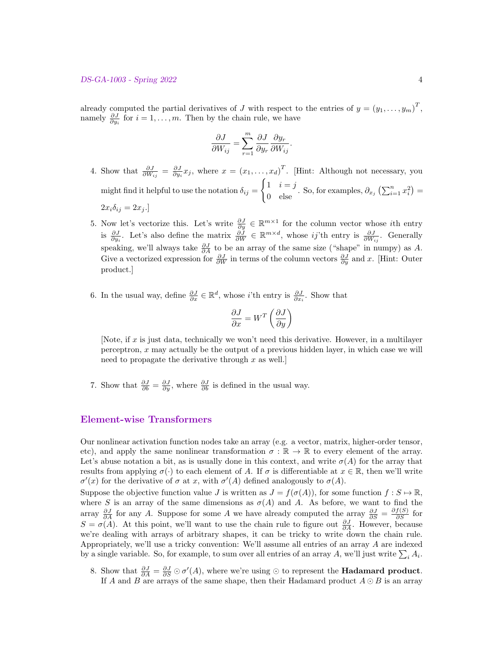already computed the partial derivatives of J with respect to the entries of  $y = (y_1, \ldots, y_m)^T$ , namely  $\frac{\partial J}{\partial y_i}$  for  $i = 1, \ldots, m$ . Then by the chain rule, we have

$$
\frac{\partial J}{\partial W_{ij}} = \sum_{r=1}^{m} \frac{\partial J}{\partial y_r} \frac{\partial y_r}{\partial W_{ij}}.
$$

- 4. Show that  $\frac{\partial J}{\partial W_{ij}} = \frac{\partial J}{\partial y_i} x_j$ , where  $x = (x_1, \ldots, x_d)^T$ . [Hint: Although not necessary, you might find it helpful to use the notation  $\delta_{ij} =$  $\int 1 \quad i = j$  $\begin{bmatrix} 1 & i = j \\ 0 & \text{else} \end{bmatrix}$ . So, for examples,  $\partial_{x_j} \left( \sum_{i=1}^n x_i^2 \right) =$  $2x_i\delta_{ij} = 2x_j$ .
- 5. Now let's vectorize this. Let's write  $\frac{\partial J}{\partial y} \in \mathbb{R}^{m \times 1}$  for the column vector whose *i*th entry is  $\frac{\partial J}{\partial y_i}$ . Let's also define the matrix  $\frac{\partial \tilde{J}}{\partial W} \in \mathbb{R}^{m \times d}$ , whose ij'th entry is  $\frac{\partial J}{\partial W_{ij}}$ . Generally speaking, we'll always take  $\frac{\partial J}{\partial A}$  to be an array of the same size ("shape" in numpy) as A. Give a vectorized expression for  $\frac{\partial J}{\partial W}$  in terms of the column vectors  $\frac{\partial J}{\partial y}$  and x. [Hint: Outer product.]
- 6. In the usual way, define  $\frac{\partial J}{\partial x} \in \mathbb{R}^d$ , whose *i*'th entry is  $\frac{\partial J}{\partial x_i}$ . Show that

$$
\frac{\partial J}{\partial x} = W^T \left( \frac{\partial J}{\partial y} \right)
$$

[Note, if  $x$  is just data, technically we won't need this derivative. However, in a multilayer perceptron, x may actually be the output of a previous hidden layer, in which case we will need to propagate the derivative through  $x$  as well.

7. Show that  $\frac{\partial J}{\partial b} = \frac{\partial J}{\partial y}$ , where  $\frac{\partial J}{\partial b}$  is defined in the usual way.

### Element-wise Transformers

Our nonlinear activation function nodes take an array (e.g. a vector, matrix, higher-order tensor, etc), and apply the same nonlinear transformation  $\sigma : \mathbb{R} \to \mathbb{R}$  to every element of the array. Let's abuse notation a bit, as is usually done in this context, and write  $\sigma(A)$  for the array that results from applying  $\sigma(\cdot)$  to each element of A. If  $\sigma$  is differentiable at  $x \in \mathbb{R}$ , then we'll write  $\sigma'(x)$  for the derivative of  $\sigma$  at x, with  $\sigma'(A)$  defined analogously to  $\sigma(A)$ .

Suppose the objective function value J is written as  $J = f(\sigma(A))$ , for some function  $f : S \to \mathbb{R}$ , where S is an array of the same dimensions as  $\sigma(A)$  and A. As before, we want to find the array  $\frac{\partial J}{\partial A}$  for any A. Suppose for some A we have already computed the array  $\frac{\partial J}{\partial S} = \frac{\partial f(S)}{\partial S}$  for  $S = \sigma(A)$ . At this point, we'll want to use the chain rule to figure out  $\frac{\partial J}{\partial A}$ . However, because we're dealing with arrays of arbitrary shapes, it can be tricky to write down the chain rule. Appropriately, we'll use a tricky convention: We'll assume all entries of an array A are indexed by a single variable. So, for example, to sum over all entries of an array A, we'll just write  $\sum_i A_i$ .

8. Show that  $\frac{\partial J}{\partial A} = \frac{\partial J}{\partial S} \odot \sigma'(A)$ , where we're using ⊙ to represent the **Hadamard product**. If A and B are arrays of the same shape, then their Hadamard product  $A \odot B$  is an array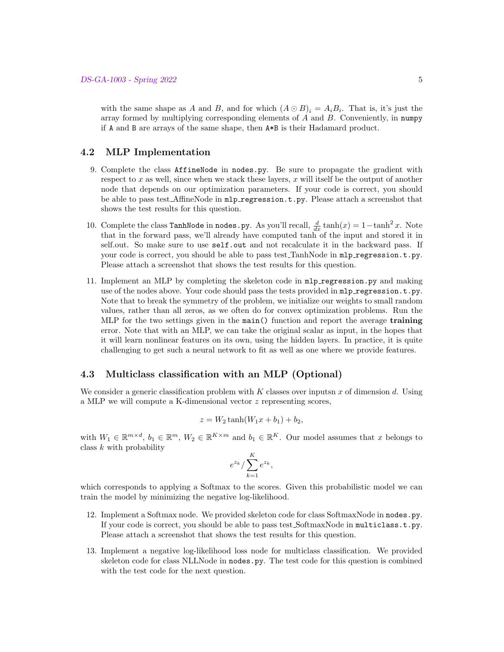with the same shape as A and B, and for which  $(A \odot B)_i = A_i B_i$ . That is, it's just the array formed by multiplying corresponding elements of A and B. Conveniently, in numpy if A and B are arrays of the same shape, then A\*B is their Hadamard product.

#### 4.2 MLP Implementation

- 9. Complete the class AffineNode in nodes.py. Be sure to propagate the gradient with respect to  $x$  as well, since when we stack these layers,  $x$  will itself be the output of another node that depends on our optimization parameters. If your code is correct, you should be able to pass test AffineNode in mlp\_regression.t.py. Please attach a screenshot that shows the test results for this question.
- 10. Complete the class TanhNode in nodes.py. As you'll recall,  $\frac{d}{dx} \tanh(x) = 1 \tanh^2 x$ . Note that in the forward pass, we'll already have computed tanh of the input and stored it in self.out. So make sure to use self.out and not recalculate it in the backward pass. If your code is correct, you should be able to pass test. TanhNode in  $mlp$  regression.t.py. Please attach a screenshot that shows the test results for this question.
- 11. Implement an MLP by completing the skeleton code in mlp regression.py and making use of the nodes above. Your code should pass the tests provided in  $mlp$ -regression.t.py. Note that to break the symmetry of the problem, we initialize our weights to small random values, rather than all zeros, as we often do for convex optimization problems. Run the MLP for the two settings given in the main() function and report the average training error. Note that with an MLP, we can take the original scalar as input, in the hopes that it will learn nonlinear features on its own, using the hidden layers. In practice, it is quite challenging to get such a neural network to fit as well as one where we provide features.

#### 4.3 Multiclass classification with an MLP (Optional)

We consider a generic classification problem with  $K$  classes over inputsn  $x$  of dimension  $d$ . Using a MLP we will compute a K-dimensional vector z representing scores,

$$
z = W_2 \tanh(W_1 x + b_1) + b_2,
$$

with  $W_1 \in \mathbb{R}^{m \times d}$ ,  $b_1 \in \mathbb{R}^m$ ,  $W_2 \in \mathbb{R}^{K \times m}$  and  $b_1 \in \mathbb{R}^K$ . Our model assumes that x belongs to class  $k$  with probability

$$
e^{z_k}/\sum_{k=1}^K e^{z_k},
$$

which corresponds to applying a Softmax to the scores. Given this probabilistic model we can train the model by minimizing the negative log-likelihood.

- 12. Implement a Softmax node. We provided skeleton code for class SoftmaxNode in nodes.py. If your code is correct, you should be able to pass test SoftmaxNode in multiclass.t.py. Please attach a screenshot that shows the test results for this question.
- 13. Implement a negative log-likelihood loss node for multiclass classification. We provided skeleton code for class NLLNode in nodes.py. The test code for this question is combined with the test code for the next question.